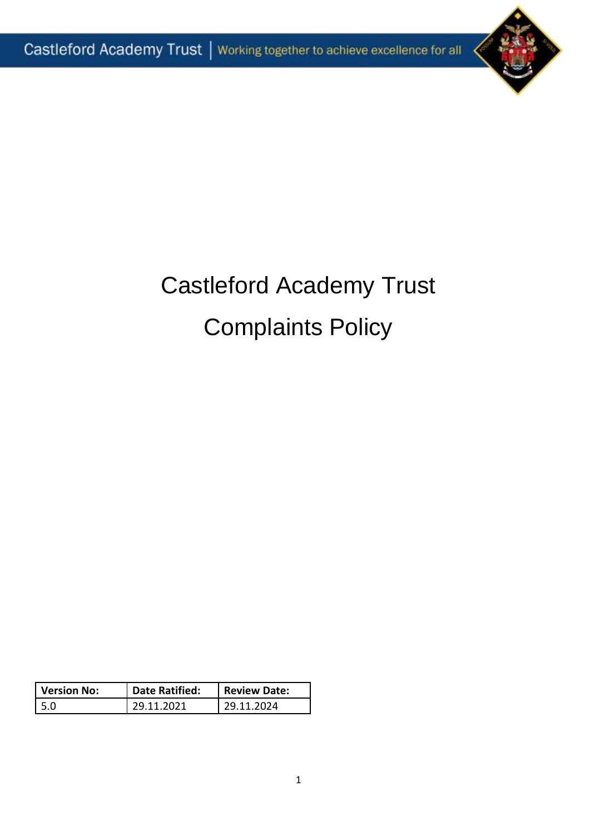

# Castleford Academy Trust Complaints Policy

| Version No: | Date Ratified: | <b>Review Date:</b> |
|-------------|----------------|---------------------|
| l 5.0       | 29.11.2021     | 29.11.2024          |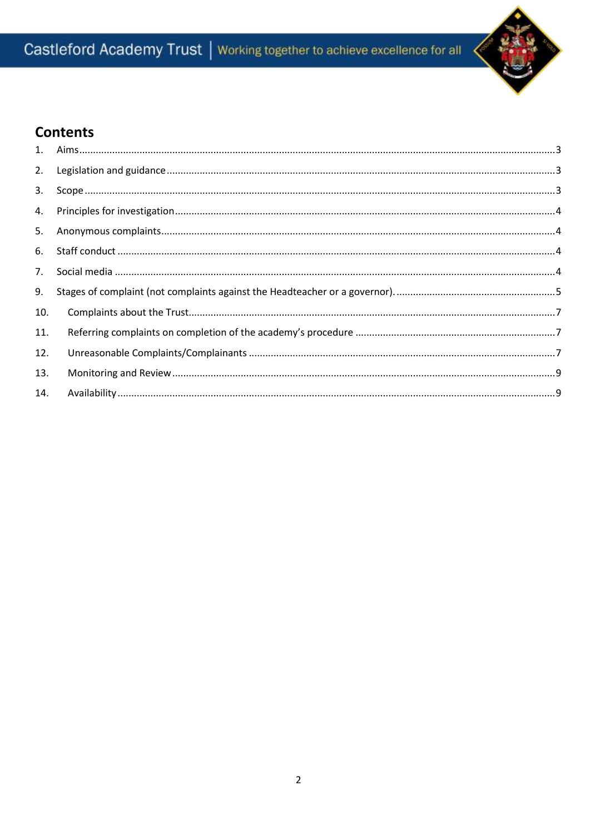## Castleford Academy Trust | Working together to achieve excellence for all



## **Contents**

| 2.  |  |
|-----|--|
| 3.  |  |
| 4.  |  |
| 5.  |  |
| 6.  |  |
| 7.  |  |
| 9.  |  |
| 10. |  |
| 11. |  |
| 12. |  |
| 13. |  |
| 14. |  |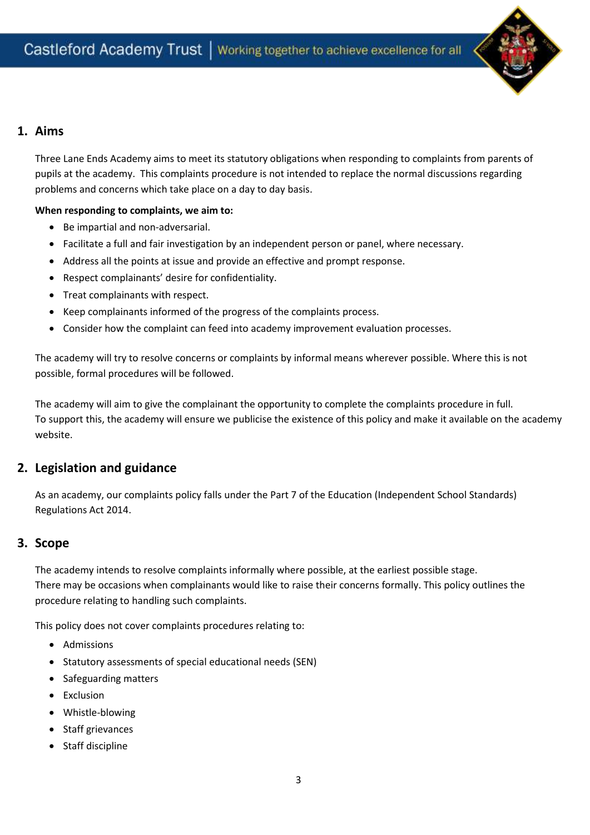

## <span id="page-2-0"></span>**1. Aims**

Three Lane Ends Academy aims to meet its statutory obligations when responding to complaints from parents of pupils at the academy. This complaints procedure is not intended to replace the normal discussions regarding problems and concerns which take place on a day to day basis.

#### **When responding to complaints, we aim to:**

- Be impartial and non-adversarial.
- Facilitate a full and fair investigation by an independent person or panel, where necessary.
- Address all the points at issue and provide an effective and prompt response.
- Respect complainants' desire for confidentiality.
- Treat complainants with respect.
- Keep complainants informed of the progress of the complaints process.
- Consider how the complaint can feed into academy improvement evaluation processes.

The academy will try to resolve concerns or complaints by informal means wherever possible. Where this is not possible, formal procedures will be followed.

The academy will aim to give the complainant the opportunity to complete the complaints procedure in full. To support this, the academy will ensure we publicise the existence of this policy and make it available on the academy website.

## <span id="page-2-1"></span>**2. Legislation and guidance**

As an academy, our complaints policy falls under the Part 7 of the Education (Independent School Standards) Regulations Act 2014.

## <span id="page-2-2"></span>**3. Scope**

The academy intends to resolve complaints informally where possible, at the earliest possible stage. There may be occasions when complainants would like to raise their concerns formally. This policy outlines the procedure relating to handling such complaints.

This policy does not cover complaints procedures relating to:

- Admissions
- Statutory assessments of special educational needs (SEN)
- Safeguarding matters
- Exclusion
- Whistle-blowing
- Staff grievances
- Staff discipline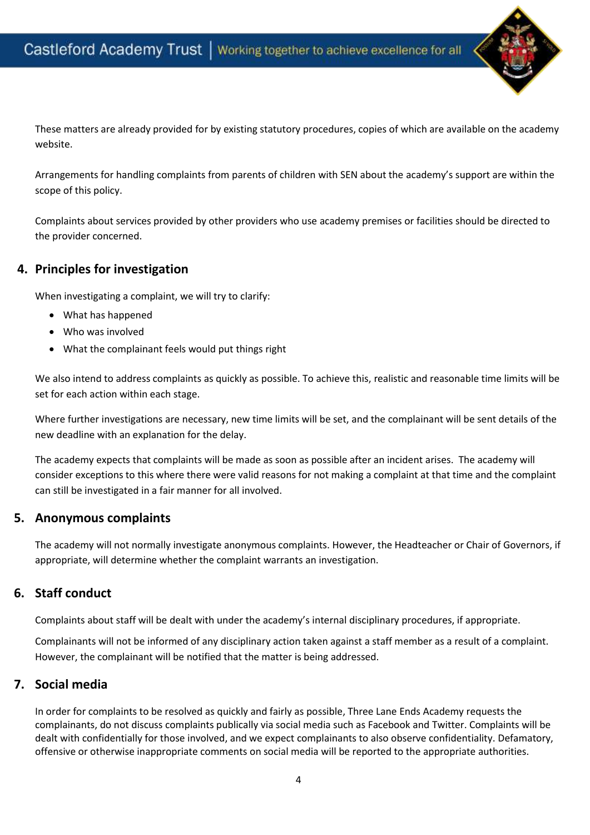

These matters are already provided for by existing statutory procedures, copies of which are available on the academy website.

Arrangements for handling complaints from parents of children with SEN about the academy's support are within the scope of this policy.

Complaints about services provided by other providers who use academy premises or facilities should be directed to the provider concerned.

## <span id="page-3-0"></span>**4. Principles for investigation**

When investigating a complaint, we will try to clarify:

- What has happened
- Who was involved
- What the complainant feels would put things right

We also intend to address complaints as quickly as possible. To achieve this, realistic and reasonable time limits will be set for each action within each stage.

Where further investigations are necessary, new time limits will be set, and the complainant will be sent details of the new deadline with an explanation for the delay.

The academy expects that complaints will be made as soon as possible after an incident arises. The academy will consider exceptions to this where there were valid reasons for not making a complaint at that time and the complaint can still be investigated in a fair manner for all involved.

## <span id="page-3-1"></span>**5. Anonymous complaints**

The academy will not normally investigate anonymous complaints. However, the Headteacher or Chair of Governors, if appropriate, will determine whether the complaint warrants an investigation.

## <span id="page-3-2"></span>**6. Staff conduct**

Complaints about staff will be dealt with under the academy's internal disciplinary procedures, if appropriate.

Complainants will not be informed of any disciplinary action taken against a staff member as a result of a complaint. However, the complainant will be notified that the matter is being addressed.

## <span id="page-3-3"></span>**7. Social media**

In order for complaints to be resolved as quickly and fairly as possible, Three Lane Ends Academy requests the complainants, do not discuss complaints publically via social media such as Facebook and Twitter. Complaints will be dealt with confidentially for those involved, and we expect complainants to also observe confidentiality. Defamatory, offensive or otherwise inappropriate comments on social media will be reported to the appropriate authorities.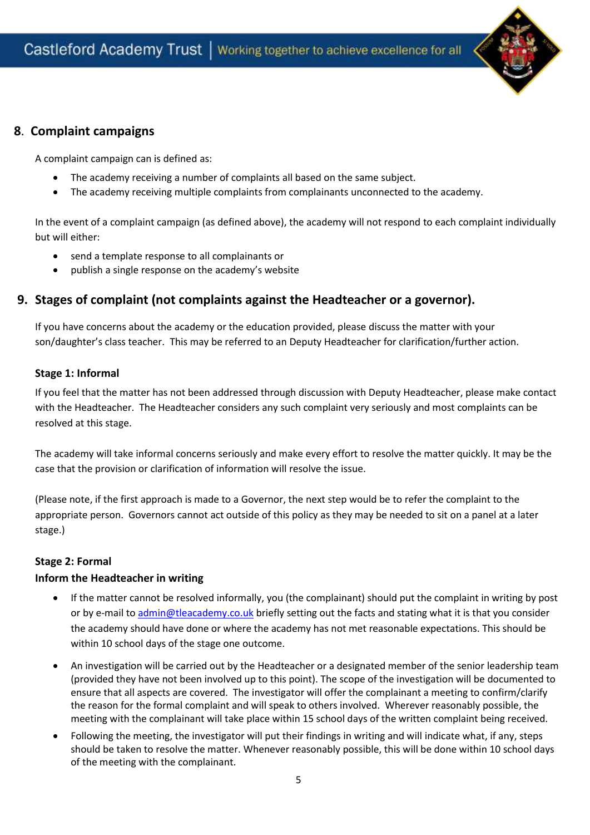

## **8**. **Complaint campaigns**

A complaint campaign can is defined as:

- The academy receiving a number of complaints all based on the same subject.
- The academy receiving multiple complaints from complainants unconnected to the academy.

In the event of a complaint campaign (as defined above), the academy will not respond to each complaint individually but will either:

- send a template response to all complainants or
- publish a single response on the academy's website

## <span id="page-4-0"></span>**9. Stages of complaint (not complaints against the Headteacher or a governor).**

If you have concerns about the academy or the education provided, please discuss the matter with your son/daughter's class teacher. This may be referred to an Deputy Headteacher for clarification/further action.

## **Stage 1: Informal**

If you feel that the matter has not been addressed through discussion with Deputy Headteacher, please make contact with the Headteacher. The Headteacher considers any such complaint very seriously and most complaints can be resolved at this stage.

The academy will take informal concerns seriously and make every effort to resolve the matter quickly. It may be the case that the provision or clarification of information will resolve the issue.

(Please note, if the first approach is made to a Governor, the next step would be to refer the complaint to the appropriate person. Governors cannot act outside of this policy as they may be needed to sit on a panel at a later stage.)

#### **Stage 2: Formal**

## **Inform the Headteacher in writing**

- If the matter cannot be resolved informally, you (the complainant) should put the complaint in writing by post or by e-mail to admin@tleacademy.co.uk briefly setting out the facts and stating what it is that you consider the academy should have done or where the academy has not met reasonable expectations. This should be within 10 school days of the stage one outcome.
- An investigation will be carried out by the Headteacher or a designated member of the senior leadership team (provided they have not been involved up to this point). The scope of the investigation will be documented to ensure that all aspects are covered. The investigator will offer the complainant a meeting to confirm/clarify the reason for the formal complaint and will speak to others involved. Wherever reasonably possible, the meeting with the complainant will take place within 15 school days of the written complaint being received.
- Following the meeting, the investigator will put their findings in writing and will indicate what, if any, steps should be taken to resolve the matter. Whenever reasonably possible, this will be done within 10 school days of the meeting with the complainant.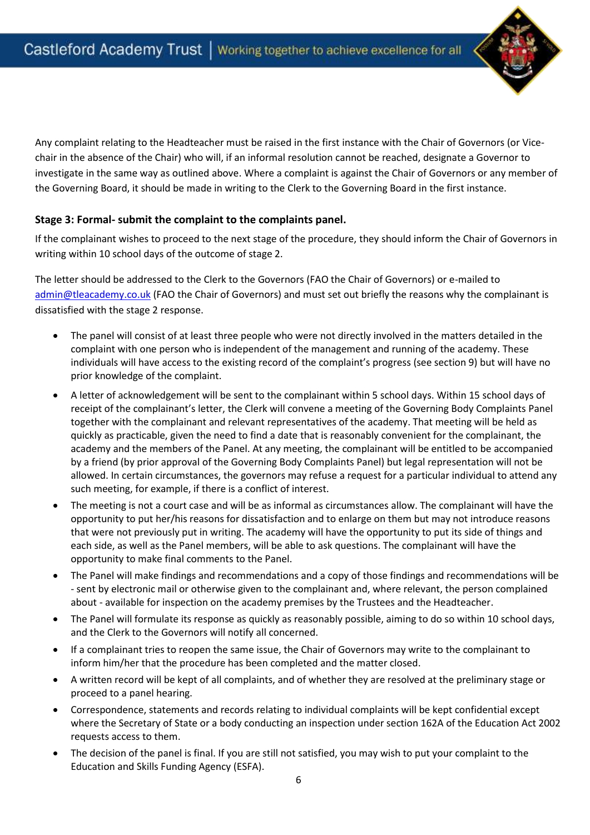

Any complaint relating to the Headteacher must be raised in the first instance with the Chair of Governors (or Vicechair in the absence of the Chair) who will, if an informal resolution cannot be reached, designate a Governor to investigate in the same way as outlined above. Where a complaint is against the Chair of Governors or any member of the Governing Board, it should be made in writing to the Clerk to the Governing Board in the first instance.

## **Stage 3: Formal- submit the complaint to the complaints panel.**

If the complainant wishes to proceed to the next stage of the procedure, they should inform the Chair of Governors in writing within 10 school days of the outcome of stage 2.

The letter should be addressed to the Clerk to the Governors (FAO the Chair of Governors) or e-mailed to [admin@tleacademy.co.uk](mailto:admin@tleacademy.co.uk) (FAO the Chair of Governors) and must set out briefly the reasons why the complainant is dissatisfied with the stage 2 response.

- The panel will consist of at least three people who were not directly involved in the matters detailed in the complaint with one person who is independent of the management and running of the academy. These individuals will have access to the existing record of the complaint's progress (see section 9) but will have no prior knowledge of the complaint.
- A letter of acknowledgement will be sent to the complainant within 5 school days. Within 15 school days of receipt of the complainant's letter, the Clerk will convene a meeting of the Governing Body Complaints Panel together with the complainant and relevant representatives of the academy. That meeting will be held as quickly as practicable, given the need to find a date that is reasonably convenient for the complainant, the academy and the members of the Panel. At any meeting, the complainant will be entitled to be accompanied by a friend (by prior approval of the Governing Body Complaints Panel) but legal representation will not be allowed. In certain circumstances, the governors may refuse a request for a particular individual to attend any such meeting, for example, if there is a conflict of interest.
- The meeting is not a court case and will be as informal as circumstances allow. The complainant will have the opportunity to put her/his reasons for dissatisfaction and to enlarge on them but may not introduce reasons that were not previously put in writing. The academy will have the opportunity to put its side of things and each side, as well as the Panel members, will be able to ask questions. The complainant will have the opportunity to make final comments to the Panel.
- The Panel will make findings and recommendations and a copy of those findings and recommendations will be - sent by electronic mail or otherwise given to the complainant and, where relevant, the person complained about - available for inspection on the academy premises by the Trustees and the Headteacher.
- The Panel will formulate its response as quickly as reasonably possible, aiming to do so within 10 school days, and the Clerk to the Governors will notify all concerned.
- If a complainant tries to reopen the same issue, the Chair of Governors may write to the complainant to inform him/her that the procedure has been completed and the matter closed.
- A written record will be kept of all complaints, and of whether they are resolved at the preliminary stage or proceed to a panel hearing.
- Correspondence, statements and records relating to individual complaints will be kept confidential except where the Secretary of State or a body conducting an inspection under section 162A of the Education Act 2002 requests access to them.
- The decision of the panel is final. If you are still not satisfied, you may wish to put your complaint to the Education and Skills Funding Agency (ESFA).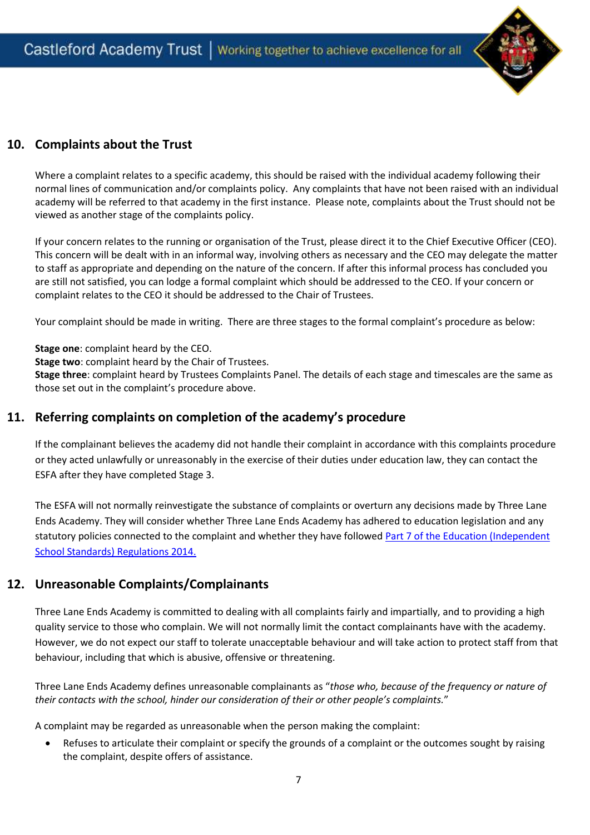

## <span id="page-6-0"></span>**10. Complaints about the Trust**

Where a complaint relates to a specific academy, this should be raised with the individual academy following their normal lines of communication and/or complaints policy. Any complaints that have not been raised with an individual academy will be referred to that academy in the first instance. Please note, complaints about the Trust should not be viewed as another stage of the complaints policy.

If your concern relates to the running or organisation of the Trust, please direct it to the Chief Executive Officer (CEO). This concern will be dealt with in an informal way, involving others as necessary and the CEO may delegate the matter to staff as appropriate and depending on the nature of the concern. If after this informal process has concluded you are still not satisfied, you can lodge a formal complaint which should be addressed to the CEO. If your concern or complaint relates to the CEO it should be addressed to the Chair of Trustees.

Your complaint should be made in writing. There are three stages to the formal complaint's procedure as below:

**Stage one**: complaint heard by the CEO.

**Stage two**: complaint heard by the Chair of Trustees.

**Stage three**: complaint heard by Trustees Complaints Panel. The details of each stage and timescales are the same as those set out in the complaint's procedure above.

## <span id="page-6-1"></span>**11. Referring complaints on completion of the academy's procedure**

If the complainant believes the academy did not handle their complaint in accordance with this complaints procedure or they acted unlawfully or unreasonably in the exercise of their duties under education law, they can contact the ESFA after they have completed Stage 3.

The ESFA will not normally reinvestigate the substance of complaints or overturn any decisions made by Three Lane Ends Academy. They will consider whether Three Lane Ends Academy has adhered to education legislation and any statutory policies connected to the complaint and whether they have followed Part 7 of the Education (Independent [School Standards\) Regulations 2014.](https://www.legislation.gov.uk/uksi/2014/3283/schedule/made)

## <span id="page-6-2"></span>**12. Unreasonable Complaints/Complainants**

Three Lane Ends Academy is committed to dealing with all complaints fairly and impartially, and to providing a high quality service to those who complain. We will not normally limit the contact complainants have with the academy. However, we do not expect our staff to tolerate unacceptable behaviour and will take action to protect staff from that behaviour, including that which is abusive, offensive or threatening.

Three Lane Ends Academy defines unreasonable complainants as "*those who, because of the frequency or nature of their contacts with the school, hinder our consideration of their or other people's complaints.*"

A complaint may be regarded as unreasonable when the person making the complaint:

 Refuses to articulate their complaint or specify the grounds of a complaint or the outcomes sought by raising the complaint, despite offers of assistance.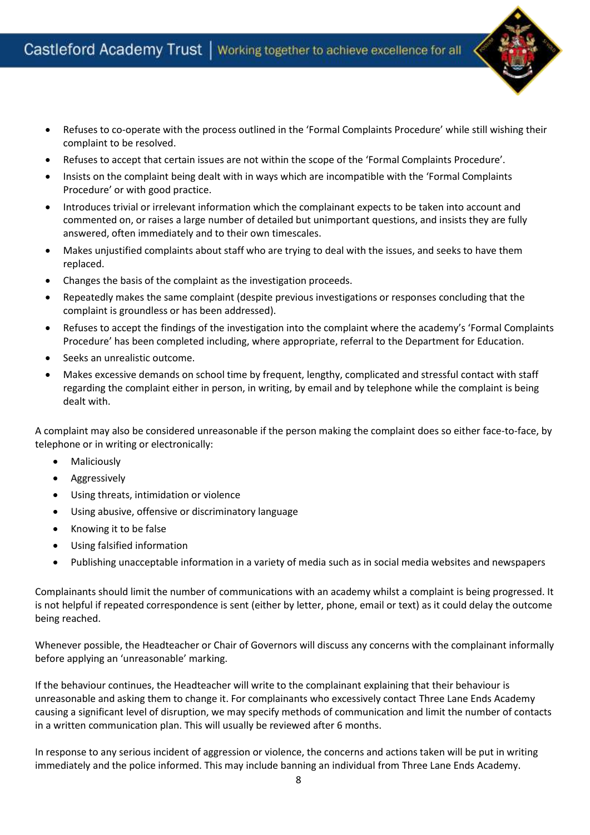

- Refuses to co-operate with the process outlined in the 'Formal Complaints Procedure' while still wishing their complaint to be resolved.
- Refuses to accept that certain issues are not within the scope of the 'Formal Complaints Procedure'.
- Insists on the complaint being dealt with in ways which are incompatible with the 'Formal Complaints Procedure' or with good practice.
- Introduces trivial or irrelevant information which the complainant expects to be taken into account and commented on, or raises a large number of detailed but unimportant questions, and insists they are fully answered, often immediately and to their own timescales.
- Makes unjustified complaints about staff who are trying to deal with the issues, and seeks to have them replaced.
- Changes the basis of the complaint as the investigation proceeds.
- Repeatedly makes the same complaint (despite previous investigations or responses concluding that the complaint is groundless or has been addressed).
- Refuses to accept the findings of the investigation into the complaint where the academy's 'Formal Complaints Procedure' has been completed including, where appropriate, referral to the Department for Education.
- Seeks an unrealistic outcome.
- Makes excessive demands on school time by frequent, lengthy, complicated and stressful contact with staff regarding the complaint either in person, in writing, by email and by telephone while the complaint is being dealt with.

A complaint may also be considered unreasonable if the person making the complaint does so either face-to-face, by telephone or in writing or electronically:

- Maliciously
- Aggressively
- Using threats, intimidation or violence
- Using abusive, offensive or discriminatory language
- Knowing it to be false
- Using falsified information
- Publishing unacceptable information in a variety of media such as in social media websites and newspapers

Complainants should limit the number of communications with an academy whilst a complaint is being progressed. It is not helpful if repeated correspondence is sent (either by letter, phone, email or text) as it could delay the outcome being reached.

Whenever possible, the Headteacher or Chair of Governors will discuss any concerns with the complainant informally before applying an 'unreasonable' marking.

If the behaviour continues, the Headteacher will write to the complainant explaining that their behaviour is unreasonable and asking them to change it. For complainants who excessively contact Three Lane Ends Academy causing a significant level of disruption, we may specify methods of communication and limit the number of contacts in a written communication plan. This will usually be reviewed after 6 months.

In response to any serious incident of aggression or violence, the concerns and actions taken will be put in writing immediately and the police informed. This may include banning an individual from Three Lane Ends Academy.